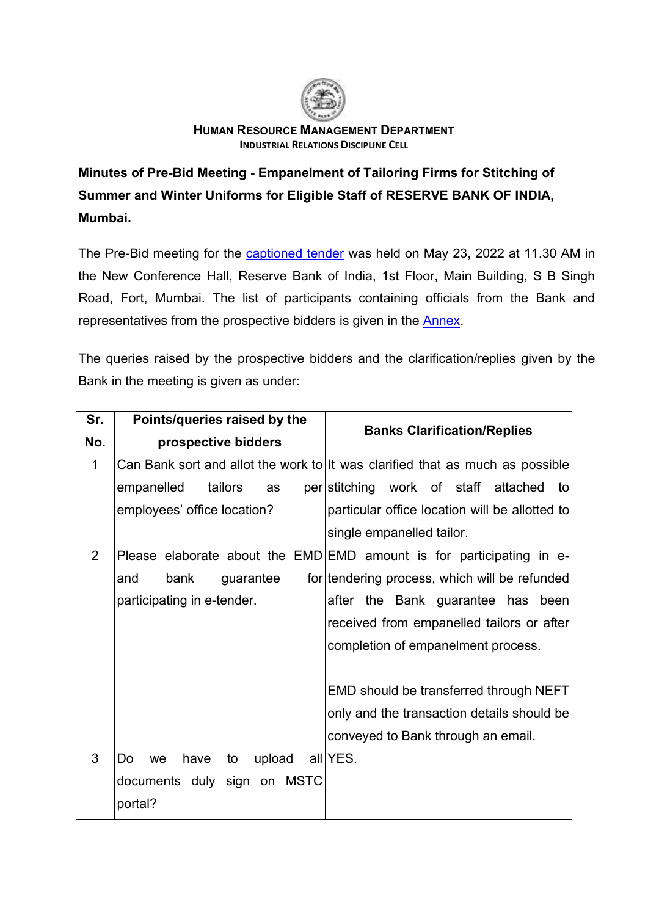

## **HUMAN RESOURCE MANAGEMENT DEPARTMENT INDUSTRIAL RELATIONS DISCIPLINE CELL**

**Minutes of Pre-Bid Meeting - Empanelment of Tailoring Firms for Stitching of Summer and Winter Uniforms for Eligible Staff of RESERVE BANK OF INDIA, Mumbai.**

The Pre-Bid meeting for the [captioned tender](https://rbi.org.in/Scripts/BS_ViewTenders.aspx?Id=6502) was held on May 23, 2022 at 11.30 AM in the New Conference Hall, Reserve Bank of India, 1st Floor, Main Building, S B Singh Road, Fort, Mumbai. The list of participants containing officials from the Bank and representatives from the prospective bidders is given in the [Annex.](#page-2-0)

The queries raised by the prospective bidders and the clarification/replies given by the Bank in the meeting is given as under:

| Sr.            | Points/queries raised by the     |                                                                               |  |
|----------------|----------------------------------|-------------------------------------------------------------------------------|--|
| No.            | prospective bidders              | <b>Banks Clarification/Replies</b>                                            |  |
| $\mathbf 1$    |                                  | Can Bank sort and allot the work to It was clarified that as much as possible |  |
|                | empanelled<br>tailors<br>as      | per stitching work of staff attached<br>to                                    |  |
|                | employees' office location?      | particular office location will be allotted to                                |  |
|                |                                  | single empanelled tailor.                                                     |  |
| $\overline{2}$ |                                  | Please elaborate about the EMD EMD amount is for participating in e-          |  |
|                | bank<br>guarantee<br>and         | for tendering process, which will be refunded                                 |  |
|                | participating in e-tender.       | after the Bank guarantee has been                                             |  |
|                |                                  | received from empanelled tailors or after                                     |  |
|                |                                  | completion of empanelment process.                                            |  |
|                |                                  |                                                                               |  |
|                |                                  | EMD should be transferred through NEFT                                        |  |
|                |                                  | only and the transaction details should be                                    |  |
|                |                                  | conveyed to Bank through an email.                                            |  |
| 3              | upload<br>Do<br>have<br>to<br>we | all YES.                                                                      |  |
|                | documents duly sign on MSTC      |                                                                               |  |
|                | portal?                          |                                                                               |  |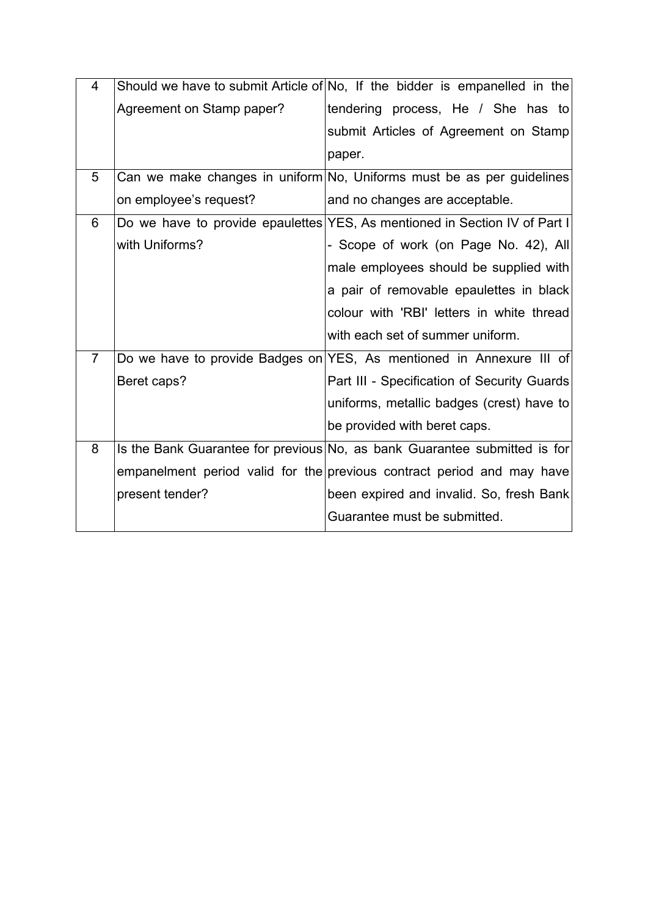| $\overline{4}$ |                           | Should we have to submit Article of No, If the bidder is empanelled in the |
|----------------|---------------------------|----------------------------------------------------------------------------|
|                | Agreement on Stamp paper? | tendering process, He / She has to                                         |
|                |                           | submit Articles of Agreement on Stamp                                      |
|                |                           | paper.                                                                     |
| 5              |                           | Can we make changes in uniform No, Uniforms must be as per guidelines      |
|                | on employee's request?    | and no changes are acceptable.                                             |
| 6              |                           | Do we have to provide epaulettes YES, As mentioned in Section IV of Part I |
|                | with Uniforms?            | - Scope of work (on Page No. 42), All                                      |
|                |                           | male employees should be supplied with                                     |
|                |                           | a pair of removable epaulettes in black                                    |
|                |                           | colour with 'RBI' letters in white thread                                  |
|                |                           | with each set of summer uniform.                                           |
| $\overline{7}$ |                           | Do we have to provide Badges on YES, As mentioned in Annexure III of       |
|                | Beret caps?               | Part III - Specification of Security Guards                                |
|                |                           | uniforms, metallic badges (crest) have to                                  |
|                |                           | be provided with beret caps.                                               |
| 8              |                           | Is the Bank Guarantee for previous No, as bank Guarantee submitted is for  |
|                |                           | empanelment period valid for the previous contract period and may have     |
|                | present tender?           | been expired and invalid. So, fresh Bank                                   |
|                |                           | Guarantee must be submitted.                                               |
|                |                           |                                                                            |